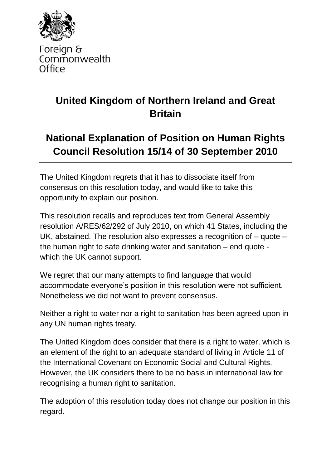

Foreign & Commonwealth Office

## **United Kingdom of Northern Ireland and Great Britain**

## **National Explanation of Position on Human Rights Council Resolution 15/14 of 30 September 2010**

The United Kingdom regrets that it has to dissociate itself from consensus on this resolution today, and would like to take this opportunity to explain our position.

This resolution recalls and reproduces text from General Assembly resolution A/RES/62/292 of July 2010, on which 41 States, including the UK, abstained. The resolution also expresses a recognition of – quote – the human right to safe drinking water and sanitation – end quote which the UK cannot support.

We regret that our many attempts to find language that would accommodate everyone's position in this resolution were not sufficient. Nonetheless we did not want to prevent consensus.

Neither a right to water nor a right to sanitation has been agreed upon in any UN human rights treaty.

The United Kingdom does consider that there is a right to water, which is an element of the right to an adequate standard of living in Article 11 of the International Covenant on Economic Social and Cultural Rights. However, the UK considers there to be no basis in international law for recognising a human right to sanitation.

The adoption of this resolution today does not change our position in this regard.